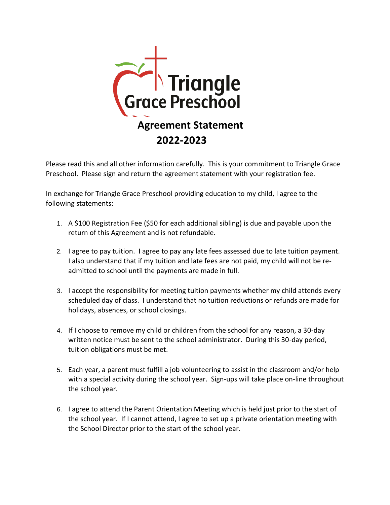

Please read this and all other information carefully. This is your commitment to Triangle Grace Preschool. Please sign and return the agreement statement with your registration fee.

In exchange for Triangle Grace Preschool providing education to my child, I agree to the following statements:

- 1. A \$100 Registration Fee (\$50 for each additional sibling) is due and payable upon the return of this Agreement and is not refundable.
- 2. I agree to pay tuition.I agree to pay any late fees assessed due to late tuition payment. I also understand that if my tuition and late fees are not paid, my child will not be readmitted to school until the payments are made in full.
- 3. I accept the responsibility for meeting tuition payments whether my child attends every scheduled day of class. I understand that no tuition reductions or refunds are made for holidays, absences, or school closings.
- 4. If I choose to remove my child or children from the school for any reason, a 30-day written notice must be sent to the school administrator. During this 30-day period, tuition obligations must be met.
- 5. Each year, a parent must fulfill a job volunteering to assist in the classroom and/or help with a special activity during the school year. Sign-ups will take place on-line throughout the school year.
- 6. I agree to attend the Parent Orientation Meeting which is held just prior to the start of the school year. If I cannot attend, I agree to set up a private orientation meeting with the School Director prior to the start of the school year.